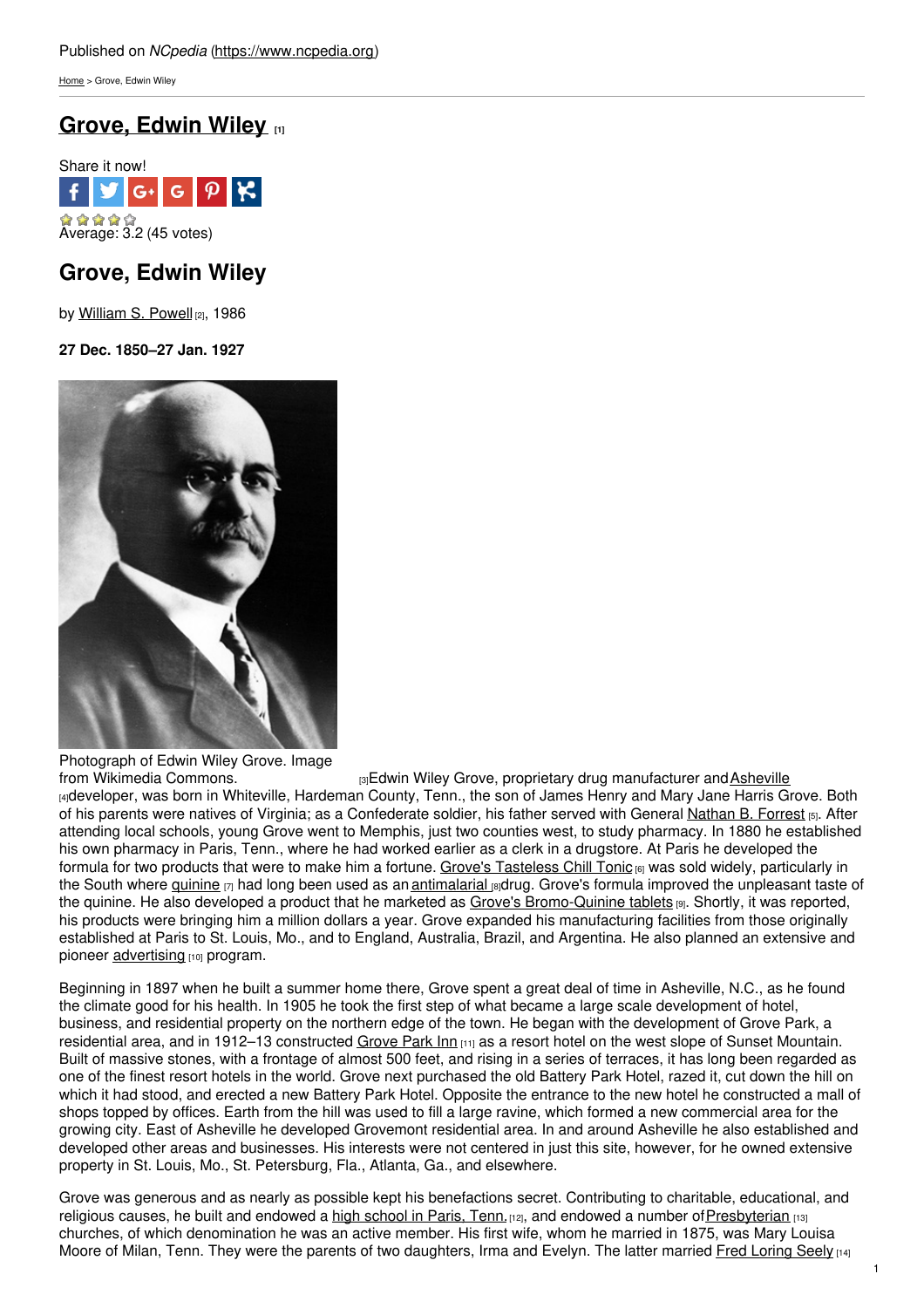[Home](https://www.ncpedia.org/) > Grove, Edwin Wiley

# **[Grove,](https://www.ncpedia.org/biography/grove-edwin-wiley) Edwin Wiley [1]**



# **Grove, Edwin Wiley**

by [William](https://www.ncpedia.org/biography/powell-william) S. Powell [2], 1986

**27 Dec. 1850–27 Jan. 1927**



Photograph of Edwin Wiley Grove. Image<br>from Wikimedia Commons.

[3] Edwin Wiley Grove, proprietary drug manufacturer and [Asheville](https://www.ncpedia.org/asheville)

[4]developer, was born in Whiteville, Hardeman County, Tenn., the son of James Henry and Mary Jane Harris Grove. Both of his parents were natives of Virginia; as a Confederate soldier, his father served with General [Nathan](http://en.wikisource.org/wiki/Interview_with_Nathan_Bedford_Forrest) B. Forrest [5]. After attending local schools, young Grove went to Memphis, just two counties west, to study pharmacy. In 1880 he established his own pharmacy in Paris, Tenn., where he had worked earlier as a clerk in a drugstore. At Paris he developed the formula for two products that were to make him a fortune. Grove's [Tasteless](http://www.grovearcade.com/groves-tasteless-chill-tonic/) Chill Tonic <sub>[6]</sub> was sold widely, particularly in the South where *[quinine](http://www.nlm.nih.gov/medlineplus/druginfo/meds/a682322.html)* [7] had long been used as an *[antimalarial](https://www.ncpedia.org/malaria)* [8]drug. Grove's formula improved the unpleasant taste of the quinine. He also developed a product that he marketed as Grove's [Bromo-Quinine](http://library.duke.edu/digitalcollections/oaaaarchives_AAA8252/) tablets [9]. Shortly, it was reported, his products were bringing him a million dollars a year. Grove expanded his manufacturing facilities from those originally established at Paris to St. Louis, Mo., and to England, Australia, Brazil, and Argentina. He also planned an extensive and pioneer [advertising](https://www.ncpedia.org/advertising) [10] program.

Beginning in 1897 when he built a summer home there, Grove spent a great deal of time in Asheville, N.C., as he found the climate good for his health. In 1905 he took the first step of what became a large scale development of hotel, business, and residential property on the northern edge of the town. He began with the development of Grove Park, a residential area, and in 1912–13 constructed [Grove](https://www.ncpedia.org/grove-park-inn) Park Inn [11] as a resort hotel on the west slope of Sunset Mountain. Built of massive stones, with a frontage of almost 500 feet, and rising in a series of terraces, it has long been regarded as one of the finest resort hotels in the world. Grove next purchased the old Battery Park Hotel, razed it, cut down the hill on which it had stood, and erected a new Battery Park Hotel. Opposite the entrance to the new hotel he constructed a mall of shops topped by offices. Earth from the hill was used to fill a large ravine, which formed a new commercial area for the growing city. East of Asheville he developed Grovemont residential area. In and around Asheville he also established and developed other areas and businesses. His interests were not centered in just this site, however, for he owned extensive property in St. Louis, Mo., St. Petersburg, Fla., Atlanta, Ga., and elsewhere.

Grove was generous and as nearly as possible kept his benefactions secret. Contributing to charitable, educational, and religious causes, he built and endowed a high [school](http://www.ewgrove.com/) in Paris, Tenn. [12], and endowed a number of [Presbyterian](https://www.ncpedia.org/presbyterian-church) [13] churches, of which denomination he was an active member. His first wife, whom he married in 1875, was Mary Louisa Moore of Milan, Tenn. They were the parents of two daughters, Irma and Evelyn. The latter married Fred [Loring](https://www.ncpedia.org/biography/seely-fred-loring) Seely  $141$